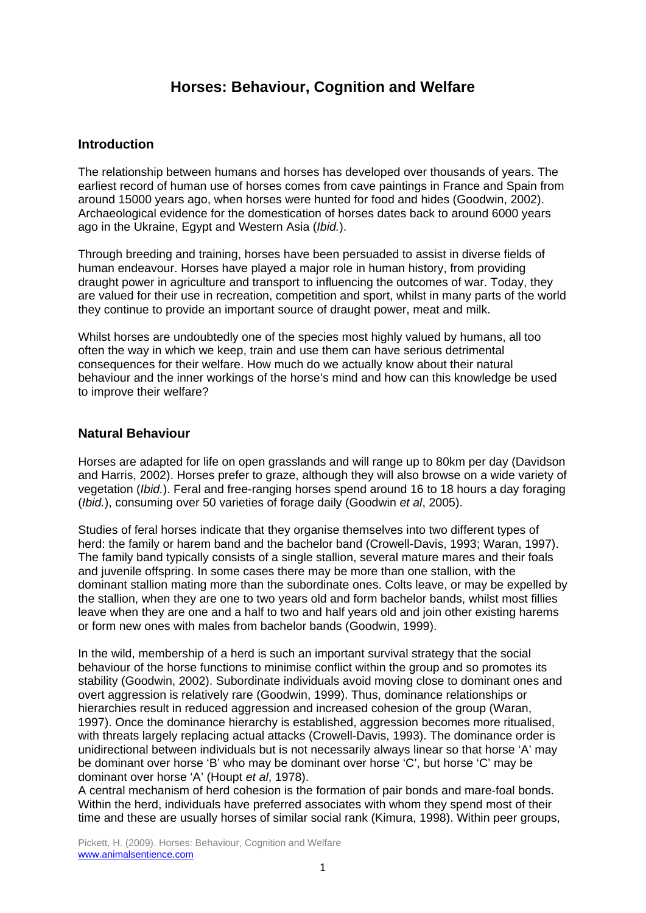# **Horses: Behaviour, Cognition and Welfare**

## **Introduction**

The relationship between humans and horses has developed over thousands of years. The earliest record of human use of horses comes from cave paintings in France and Spain from around 15000 years ago, when horses were hunted for food and hides (Goodwin, 2002). Archaeological evidence for the domestication of horses dates back to around 6000 years ago in the Ukraine, Egypt and Western Asia (*Ibid.*).

Through breeding and training, horses have been persuaded to assist in diverse fields of human endeavour. Horses have played a major role in human history, from providing draught power in agriculture and transport to influencing the outcomes of war. Today, they are valued for their use in recreation, competition and sport, whilst in many parts of the world they continue to provide an important source of draught power, meat and milk.

Whilst horses are undoubtedly one of the species most highly valued by humans, all too often the way in which we keep, train and use them can have serious detrimental consequences for their welfare. How much do we actually know about their natural behaviour and the inner workings of the horse's mind and how can this knowledge be used to improve their welfare?

## **Natural Behaviour**

Horses are adapted for life on open grasslands and will range up to 80km per day (Davidson and Harris, 2002). Horses prefer to graze, although they will also browse on a wide variety of vegetation (*Ibid.*). Feral and free-ranging horses spend around 16 to 18 hours a day foraging (*Ibid.*), consuming over 50 varieties of forage daily (Goodwin *et al*, 2005).

Studies of feral horses indicate that they organise themselves into two different types of herd: the family or harem band and the bachelor band (Crowell-Davis, 1993; Waran, 1997). The family band typically consists of a single stallion, several mature mares and their foals and juvenile offspring. In some cases there may be more than one stallion, with the dominant stallion mating more than the subordinate ones. Colts leave, or may be expelled by the stallion, when they are one to two years old and form bachelor bands, whilst most fillies leave when they are one and a half to two and half years old and join other existing harems or form new ones with males from bachelor bands (Goodwin, 1999).

In the wild, membership of a herd is such an important survival strategy that the social behaviour of the horse functions to minimise conflict within the group and so promotes its stability (Goodwin, 2002). Subordinate individuals avoid moving close to dominant ones and overt aggression is relatively rare (Goodwin, 1999). Thus, dominance relationships or hierarchies result in reduced aggression and increased cohesion of the group (Waran, 1997). Once the dominance hierarchy is established, aggression becomes more ritualised, with threats largely replacing actual attacks (Crowell-Davis, 1993). The dominance order is unidirectional between individuals but is not necessarily always linear so that horse 'A' may be dominant over horse 'B' who may be dominant over horse 'C', but horse 'C' may be dominant over horse 'A' (Houpt *et al*, 1978).

A central mechanism of herd cohesion is the formation of pair bonds and mare-foal bonds. Within the herd, individuals have preferred associates with whom they spend most of their time and these are usually horses of similar social rank (Kimura, 1998). Within peer groups,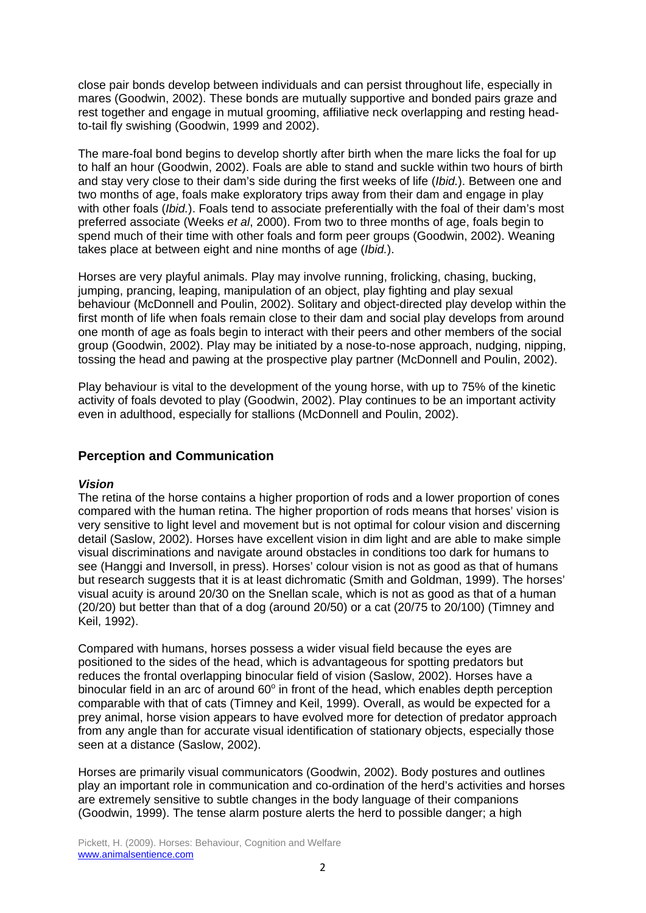close pair bonds develop between individuals and can persist throughout life, especially in mares (Goodwin, 2002). These bonds are mutually supportive and bonded pairs graze and rest together and engage in mutual grooming, affiliative neck overlapping and resting headto-tail fly swishing (Goodwin, 1999 and 2002).

The mare-foal bond begins to develop shortly after birth when the mare licks the foal for up to half an hour (Goodwin, 2002). Foals are able to stand and suckle within two hours of birth and stay very close to their dam's side during the first weeks of life (*Ibid.*). Between one and two months of age, foals make exploratory trips away from their dam and engage in play with other foals (*Ibid.*). Foals tend to associate preferentially with the foal of their dam's most preferred associate (Weeks *et al*, 2000). From two to three months of age, foals begin to spend much of their time with other foals and form peer groups (Goodwin, 2002). Weaning takes place at between eight and nine months of age (*Ibid.*).

Horses are very playful animals. Play may involve running, frolicking, chasing, bucking, jumping, prancing, leaping, manipulation of an object, play fighting and play sexual behaviour (McDonnell and Poulin, 2002). Solitary and object-directed play develop within the first month of life when foals remain close to their dam and social play develops from around one month of age as foals begin to interact with their peers and other members of the social group (Goodwin, 2002). Play may be initiated by a nose-to-nose approach, nudging, nipping, tossing the head and pawing at the prospective play partner (McDonnell and Poulin, 2002).

Play behaviour is vital to the development of the young horse, with up to 75% of the kinetic activity of foals devoted to play (Goodwin, 2002). Play continues to be an important activity even in adulthood, especially for stallions (McDonnell and Poulin, 2002).

# **Perception and Communication**

### *Vision*

The retina of the horse contains a higher proportion of rods and a lower proportion of cones compared with the human retina. The higher proportion of rods means that horses' vision is very sensitive to light level and movement but is not optimal for colour vision and discerning detail (Saslow, 2002). Horses have excellent vision in dim light and are able to make simple visual discriminations and navigate around obstacles in conditions too dark for humans to see (Hanggi and Inversoll, in press). Horses' colour vision is not as good as that of humans but research suggests that it is at least dichromatic (Smith and Goldman, 1999). The horses' visual acuity is around 20/30 on the Snellan scale, which is not as good as that of a human (20/20) but better than that of a dog (around 20/50) or a cat (20/75 to 20/100) (Timney and Keil, 1992).

Compared with humans, horses possess a wider visual field because the eyes are positioned to the sides of the head, which is advantageous for spotting predators but reduces the frontal overlapping binocular field of vision (Saslow, 2002). Horses have a binocular field in an arc of around  $60^{\circ}$  in front of the head, which enables depth perception comparable with that of cats (Timney and Keil, 1999). Overall, as would be expected for a prey animal, horse vision appears to have evolved more for detection of predator approach from any angle than for accurate visual identification of stationary objects, especially those seen at a distance (Saslow, 2002).

Horses are primarily visual communicators (Goodwin, 2002). Body postures and outlines play an important role in communication and co-ordination of the herd's activities and horses are extremely sensitive to subtle changes in the body language of their companions (Goodwin, 1999). The tense alarm posture alerts the herd to possible danger; a high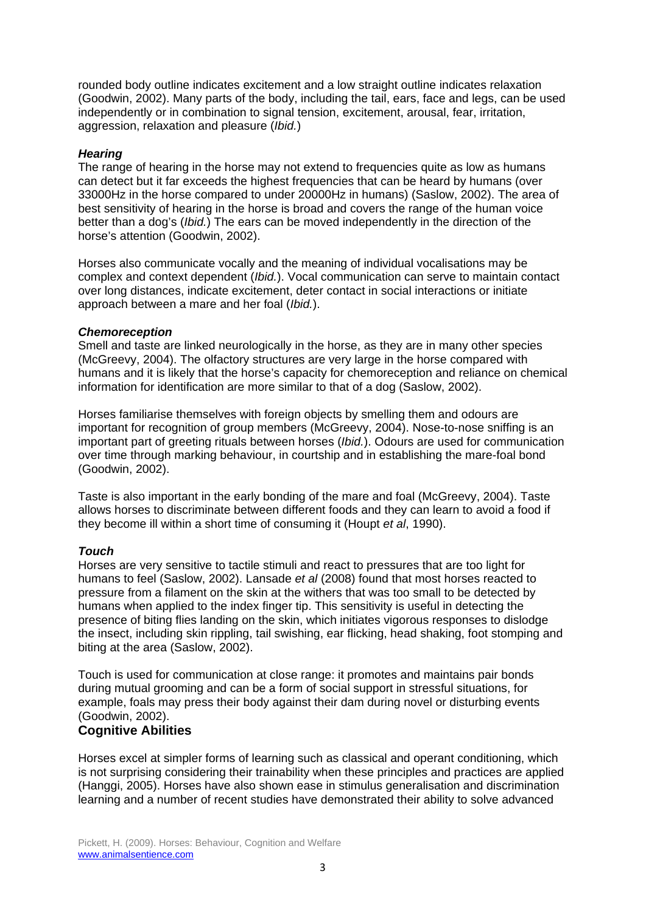rounded body outline indicates excitement and a low straight outline indicates relaxation (Goodwin, 2002). Many parts of the body, including the tail, ears, face and legs, can be used independently or in combination to signal tension, excitement, arousal, fear, irritation, aggression, relaxation and pleasure (*Ibid.*)

### *Hearing*

The range of hearing in the horse may not extend to frequencies quite as low as humans can detect but it far exceeds the highest frequencies that can be heard by humans (over 33000Hz in the horse compared to under 20000Hz in humans) (Saslow, 2002). The area of best sensitivity of hearing in the horse is broad and covers the range of the human voice better than a dog's (*Ibid.*) The ears can be moved independently in the direction of the horse's attention (Goodwin, 2002).

Horses also communicate vocally and the meaning of individual vocalisations may be complex and context dependent (*Ibid.*). Vocal communication can serve to maintain contact over long distances, indicate excitement, deter contact in social interactions or initiate approach between a mare and her foal (*Ibid.*).

#### *Chemoreception*

Smell and taste are linked neurologically in the horse, as they are in many other species (McGreevy, 2004). The olfactory structures are very large in the horse compared with humans and it is likely that the horse's capacity for chemoreception and reliance on chemical information for identification are more similar to that of a dog (Saslow, 2002).

Horses familiarise themselves with foreign objects by smelling them and odours are important for recognition of group members (McGreevy, 2004). Nose-to-nose sniffing is an important part of greeting rituals between horses (*Ibid.*). Odours are used for communication over time through marking behaviour, in courtship and in establishing the mare-foal bond (Goodwin, 2002).

Taste is also important in the early bonding of the mare and foal (McGreevy, 2004). Taste allows horses to discriminate between different foods and they can learn to avoid a food if they become ill within a short time of consuming it (Houpt *et al*, 1990).

### *Touch*

Horses are very sensitive to tactile stimuli and react to pressures that are too light for humans to feel (Saslow, 2002). Lansade *et al* (2008) found that most horses reacted to pressure from a filament on the skin at the withers that was too small to be detected by humans when applied to the index finger tip. This sensitivity is useful in detecting the presence of biting flies landing on the skin, which initiates vigorous responses to dislodge the insect, including skin rippling, tail swishing, ear flicking, head shaking, foot stomping and biting at the area (Saslow, 2002).

Touch is used for communication at close range: it promotes and maintains pair bonds during mutual grooming and can be a form of social support in stressful situations, for example, foals may press their body against their dam during novel or disturbing events (Goodwin, 2002).

# **Cognitive Abilities**

Horses excel at simpler forms of learning such as classical and operant conditioning, which is not surprising considering their trainability when these principles and practices are applied (Hanggi, 2005). Horses have also shown ease in stimulus generalisation and discrimination learning and a number of recent studies have demonstrated their ability to solve advanced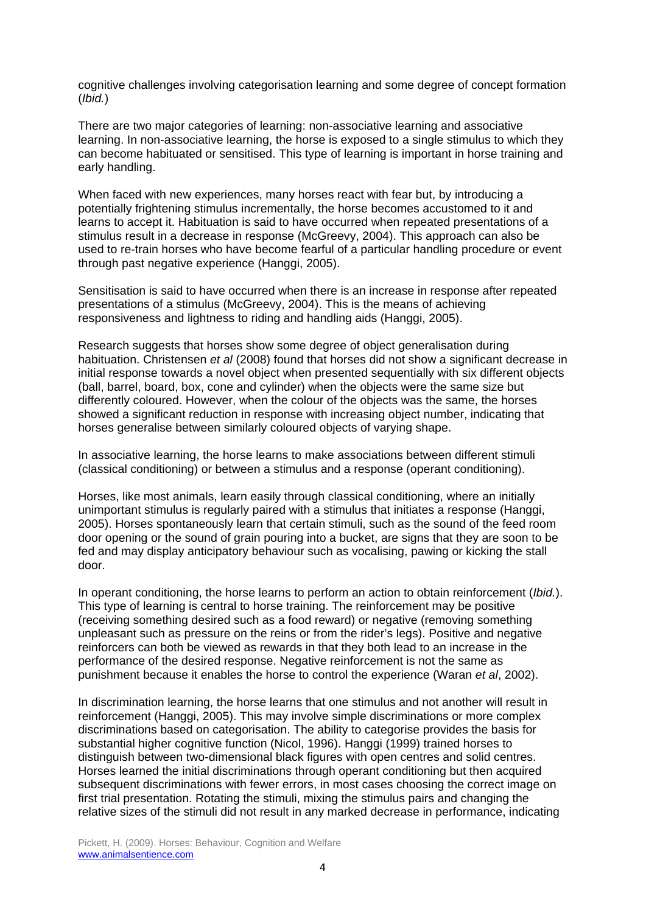cognitive challenges involving categorisation learning and some degree of concept formation (*Ibid.*)

There are two major categories of learning: non-associative learning and associative learning. In non-associative learning, the horse is exposed to a single stimulus to which they can become habituated or sensitised. This type of learning is important in horse training and early handling.

When faced with new experiences, many horses react with fear but, by introducing a potentially frightening stimulus incrementally, the horse becomes accustomed to it and learns to accept it. Habituation is said to have occurred when repeated presentations of a stimulus result in a decrease in response (McGreevy, 2004). This approach can also be used to re-train horses who have become fearful of a particular handling procedure or event through past negative experience (Hanggi, 2005).

Sensitisation is said to have occurred when there is an increase in response after repeated presentations of a stimulus (McGreevy, 2004). This is the means of achieving responsiveness and lightness to riding and handling aids (Hanggi, 2005).

Research suggests that horses show some degree of object generalisation during habituation. Christensen *et al* (2008) found that horses did not show a significant decrease in initial response towards a novel object when presented sequentially with six different objects (ball, barrel, board, box, cone and cylinder) when the objects were the same size but differently coloured. However, when the colour of the objects was the same, the horses showed a significant reduction in response with increasing object number, indicating that horses generalise between similarly coloured objects of varying shape.

In associative learning, the horse learns to make associations between different stimuli (classical conditioning) or between a stimulus and a response (operant conditioning).

Horses, like most animals, learn easily through classical conditioning, where an initially unimportant stimulus is regularly paired with a stimulus that initiates a response (Hanggi, 2005). Horses spontaneously learn that certain stimuli, such as the sound of the feed room door opening or the sound of grain pouring into a bucket, are signs that they are soon to be fed and may display anticipatory behaviour such as vocalising, pawing or kicking the stall door.

In operant conditioning, the horse learns to perform an action to obtain reinforcement (*Ibid.*). This type of learning is central to horse training. The reinforcement may be positive (receiving something desired such as a food reward) or negative (removing something unpleasant such as pressure on the reins or from the rider's legs). Positive and negative reinforcers can both be viewed as rewards in that they both lead to an increase in the performance of the desired response. Negative reinforcement is not the same as punishment because it enables the horse to control the experience (Waran *et al*, 2002).

In discrimination learning, the horse learns that one stimulus and not another will result in reinforcement (Hanggi, 2005). This may involve simple discriminations or more complex discriminations based on categorisation. The ability to categorise provides the basis for substantial higher cognitive function (Nicol, 1996). Hanggi (1999) trained horses to distinguish between two-dimensional black figures with open centres and solid centres. Horses learned the initial discriminations through operant conditioning but then acquired subsequent discriminations with fewer errors, in most cases choosing the correct image on first trial presentation. Rotating the stimuli, mixing the stimulus pairs and changing the relative sizes of the stimuli did not result in any marked decrease in performance, indicating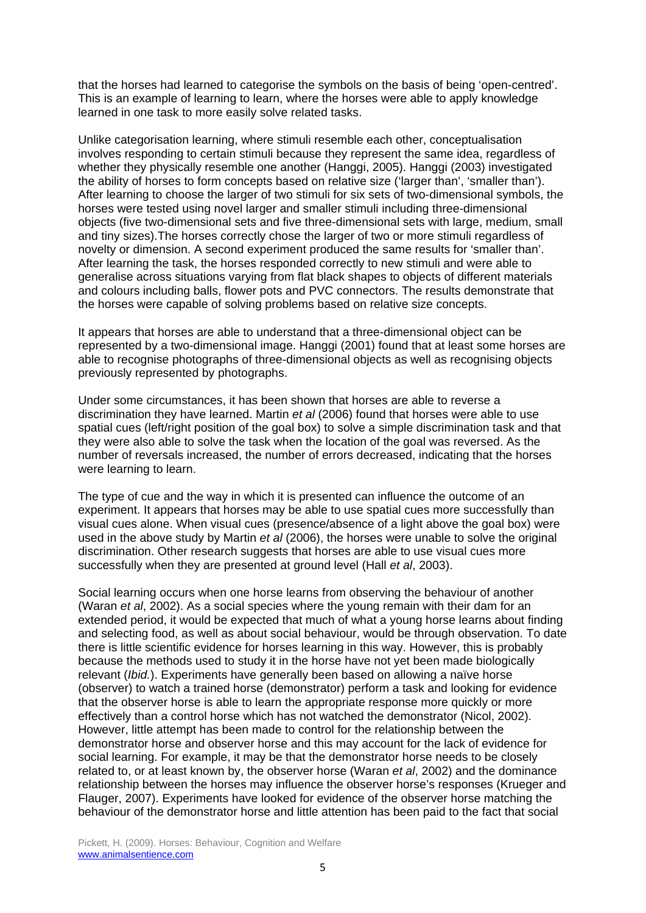that the horses had learned to categorise the symbols on the basis of being 'open-centred'. This is an example of learning to learn, where the horses were able to apply knowledge learned in one task to more easily solve related tasks.

Unlike categorisation learning, where stimuli resemble each other, conceptualisation involves responding to certain stimuli because they represent the same idea, regardless of whether they physically resemble one another (Hanggi, 2005). Hanggi (2003) investigated the ability of horses to form concepts based on relative size ('larger than', 'smaller than'). After learning to choose the larger of two stimuli for six sets of two-dimensional symbols, the horses were tested using novel larger and smaller stimuli including three-dimensional objects (five two-dimensional sets and five three-dimensional sets with large, medium, small and tiny sizes).The horses correctly chose the larger of two or more stimuli regardless of novelty or dimension. A second experiment produced the same results for 'smaller than'. After learning the task, the horses responded correctly to new stimuli and were able to generalise across situations varying from flat black shapes to objects of different materials and colours including balls, flower pots and PVC connectors. The results demonstrate that the horses were capable of solving problems based on relative size concepts.

It appears that horses are able to understand that a three-dimensional object can be represented by a two-dimensional image. Hanggi (2001) found that at least some horses are able to recognise photographs of three-dimensional objects as well as recognising objects previously represented by photographs.

Under some circumstances, it has been shown that horses are able to reverse a discrimination they have learned. Martin *et al* (2006) found that horses were able to use spatial cues (left/right position of the goal box) to solve a simple discrimination task and that they were also able to solve the task when the location of the goal was reversed. As the number of reversals increased, the number of errors decreased, indicating that the horses were learning to learn.

The type of cue and the way in which it is presented can influence the outcome of an experiment. It appears that horses may be able to use spatial cues more successfully than visual cues alone. When visual cues (presence/absence of a light above the goal box) were used in the above study by Martin *et al* (2006), the horses were unable to solve the original discrimination. Other research suggests that horses are able to use visual cues more successfully when they are presented at ground level (Hall *et al*, 2003).

Social learning occurs when one horse learns from observing the behaviour of another (Waran *et al*, 2002). As a social species where the young remain with their dam for an extended period, it would be expected that much of what a young horse learns about finding and selecting food, as well as about social behaviour, would be through observation. To date there is little scientific evidence for horses learning in this way. However, this is probably because the methods used to study it in the horse have not yet been made biologically relevant (*Ibid.*). Experiments have generally been based on allowing a naïve horse (observer) to watch a trained horse (demonstrator) perform a task and looking for evidence that the observer horse is able to learn the appropriate response more quickly or more effectively than a control horse which has not watched the demonstrator (Nicol, 2002). However, little attempt has been made to control for the relationship between the demonstrator horse and observer horse and this may account for the lack of evidence for social learning. For example, it may be that the demonstrator horse needs to be closely related to, or at least known by, the observer horse (Waran *et al*, 2002) and the dominance relationship between the horses may influence the observer horse's responses (Krueger and Flauger, 2007). Experiments have looked for evidence of the observer horse matching the behaviour of the demonstrator horse and little attention has been paid to the fact that social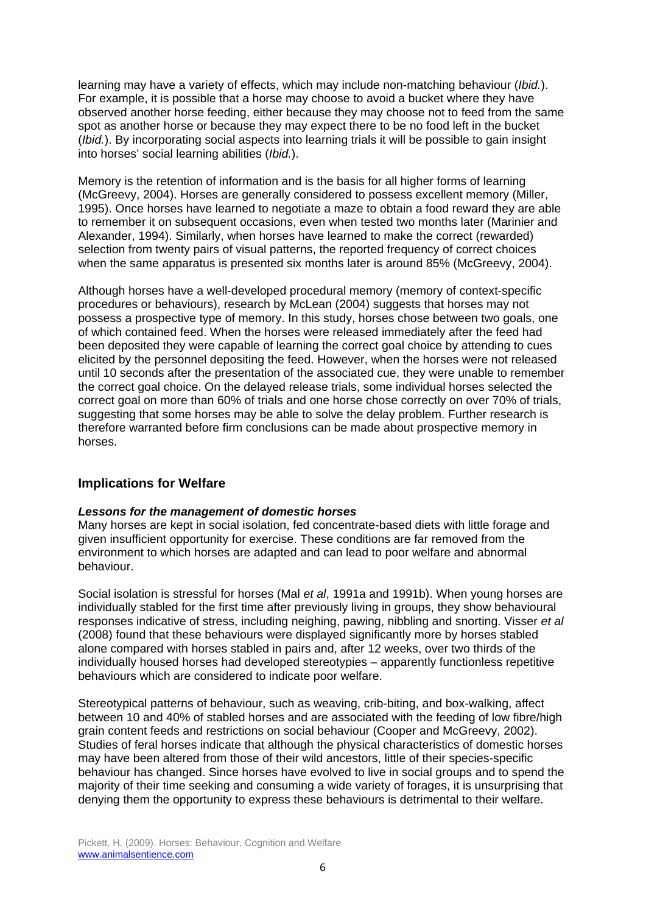learning may have a variety of effects, which may include non-matching behaviour (*Ibid.*). For example, it is possible that a horse may choose to avoid a bucket where they have observed another horse feeding, either because they may choose not to feed from the same spot as another horse or because they may expect there to be no food left in the bucket (*Ibid.*). By incorporating social aspects into learning trials it will be possible to gain insight into horses' social learning abilities (*Ibid.*).

Memory is the retention of information and is the basis for all higher forms of learning (McGreevy, 2004). Horses are generally considered to possess excellent memory (Miller, 1995). Once horses have learned to negotiate a maze to obtain a food reward they are able to remember it on subsequent occasions, even when tested two months later (Marinier and Alexander, 1994). Similarly, when horses have learned to make the correct (rewarded) selection from twenty pairs of visual patterns, the reported frequency of correct choices when the same apparatus is presented six months later is around 85% (McGreevy, 2004).

Although horses have a well-developed procedural memory (memory of context-specific procedures or behaviours), research by McLean (2004) suggests that horses may not possess a prospective type of memory. In this study, horses chose between two goals, one of which contained feed. When the horses were released immediately after the feed had been deposited they were capable of learning the correct goal choice by attending to cues elicited by the personnel depositing the feed. However, when the horses were not released until 10 seconds after the presentation of the associated cue, they were unable to remember the correct goal choice. On the delayed release trials, some individual horses selected the correct goal on more than 60% of trials and one horse chose correctly on over 70% of trials, suggesting that some horses may be able to solve the delay problem. Further research is therefore warranted before firm conclusions can be made about prospective memory in horses.

# **Implications for Welfare**

### *Lessons for the management of domestic horses*

Many horses are kept in social isolation, fed concentrate-based diets with little forage and given insufficient opportunity for exercise. These conditions are far removed from the environment to which horses are adapted and can lead to poor welfare and abnormal behaviour.

Social isolation is stressful for horses (Mal *et al*, 1991a and 1991b). When young horses are individually stabled for the first time after previously living in groups, they show behavioural responses indicative of stress, including neighing, pawing, nibbling and snorting. Visser *et al* (2008) found that these behaviours were displayed significantly more by horses stabled alone compared with horses stabled in pairs and, after 12 weeks, over two thirds of the individually housed horses had developed stereotypies – apparently functionless repetitive behaviours which are considered to indicate poor welfare.

Stereotypical patterns of behaviour, such as weaving, crib-biting, and box-walking, affect between 10 and 40% of stabled horses and are associated with the feeding of low fibre/high grain content feeds and restrictions on social behaviour (Cooper and McGreevy, 2002). Studies of feral horses indicate that although the physical characteristics of domestic horses may have been altered from those of their wild ancestors, little of their species-specific behaviour has changed. Since horses have evolved to live in social groups and to spend the majority of their time seeking and consuming a wide variety of forages, it is unsurprising that denying them the opportunity to express these behaviours is detrimental to their welfare.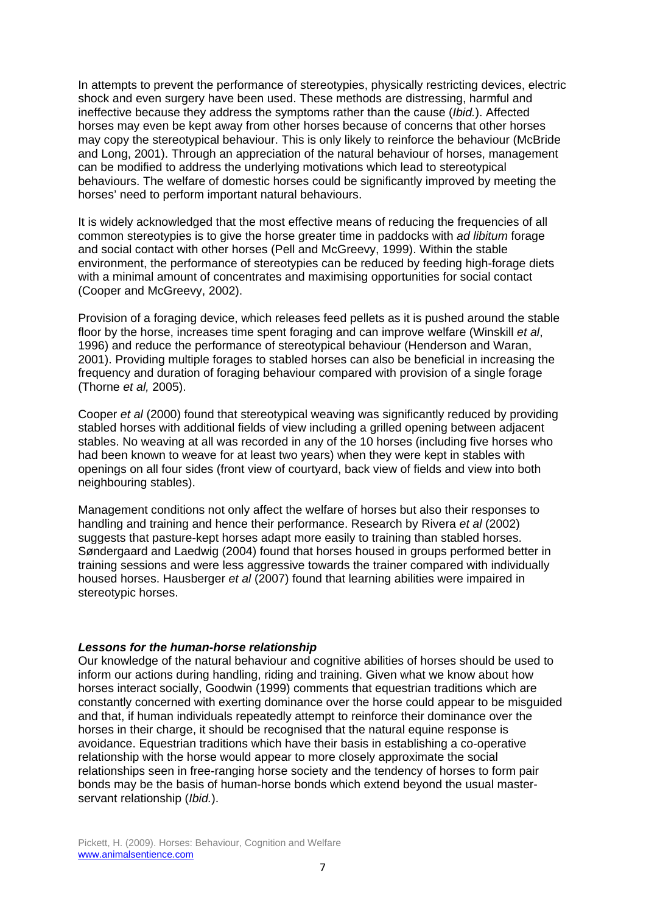In attempts to prevent the performance of stereotypies, physically restricting devices, electric shock and even surgery have been used. These methods are distressing, harmful and ineffective because they address the symptoms rather than the cause (*Ibid.*). Affected horses may even be kept away from other horses because of concerns that other horses may copy the stereotypical behaviour. This is only likely to reinforce the behaviour (McBride and Long, 2001). Through an appreciation of the natural behaviour of horses, management can be modified to address the underlying motivations which lead to stereotypical behaviours. The welfare of domestic horses could be significantly improved by meeting the horses' need to perform important natural behaviours.

It is widely acknowledged that the most effective means of reducing the frequencies of all common stereotypies is to give the horse greater time in paddocks with *ad libitum* forage and social contact with other horses (Pell and McGreevy, 1999). Within the stable environment, the performance of stereotypies can be reduced by feeding high-forage diets with a minimal amount of concentrates and maximising opportunities for social contact (Cooper and McGreevy, 2002).

Provision of a foraging device, which releases feed pellets as it is pushed around the stable floor by the horse, increases time spent foraging and can improve welfare (Winskill *et al*, 1996) and reduce the performance of stereotypical behaviour (Henderson and Waran, 2001). Providing multiple forages to stabled horses can also be beneficial in increasing the frequency and duration of foraging behaviour compared with provision of a single forage (Thorne *et al,* 2005).

Cooper *et al* (2000) found that stereotypical weaving was significantly reduced by providing stabled horses with additional fields of view including a grilled opening between adjacent stables. No weaving at all was recorded in any of the 10 horses (including five horses who had been known to weave for at least two years) when they were kept in stables with openings on all four sides (front view of courtyard, back view of fields and view into both neighbouring stables).

Management conditions not only affect the welfare of horses but also their responses to handling and training and hence their performance. Research by Rivera *et al* (2002) suggests that pasture-kept horses adapt more easily to training than stabled horses. Søndergaard and Laedwig (2004) found that horses housed in groups performed better in training sessions and were less aggressive towards the trainer compared with individually housed horses. Hausberger *et al* (2007) found that learning abilities were impaired in stereotypic horses.

#### *Lessons for the human-horse relationship*

Our knowledge of the natural behaviour and cognitive abilities of horses should be used to inform our actions during handling, riding and training. Given what we know about how horses interact socially, Goodwin (1999) comments that equestrian traditions which are constantly concerned with exerting dominance over the horse could appear to be misguided and that, if human individuals repeatedly attempt to reinforce their dominance over the horses in their charge, it should be recognised that the natural equine response is avoidance. Equestrian traditions which have their basis in establishing a co-operative relationship with the horse would appear to more closely approximate the social relationships seen in free-ranging horse society and the tendency of horses to form pair bonds may be the basis of human-horse bonds which extend beyond the usual masterservant relationship (*Ibid.*).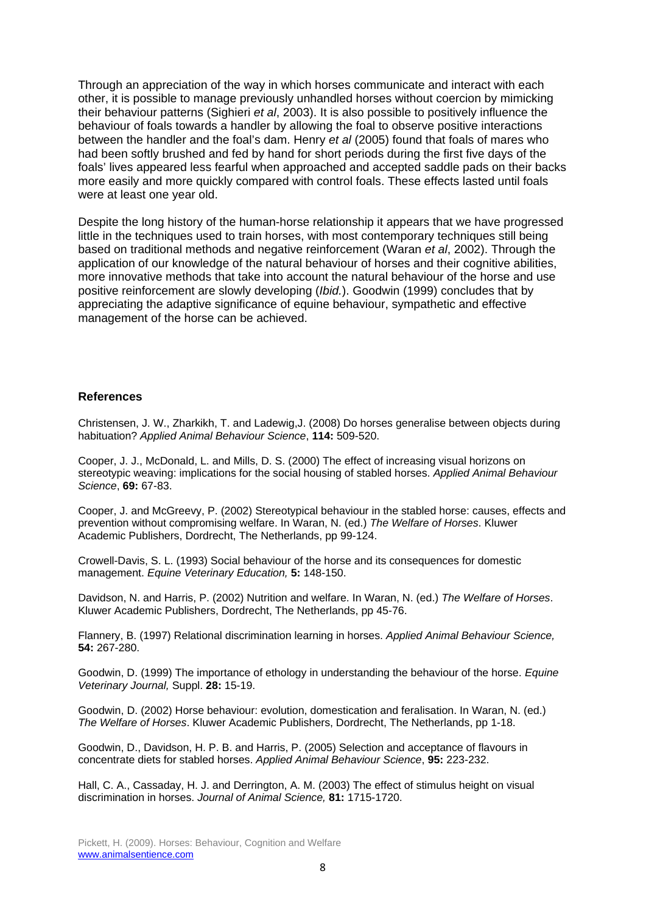Through an appreciation of the way in which horses communicate and interact with each other, it is possible to manage previously unhandled horses without coercion by mimicking their behaviour patterns (Sighieri *et al*, 2003). It is also possible to positively influence the behaviour of foals towards a handler by allowing the foal to observe positive interactions between the handler and the foal's dam. Henry *et al* (2005) found that foals of mares who had been softly brushed and fed by hand for short periods during the first five days of the foals' lives appeared less fearful when approached and accepted saddle pads on their backs more easily and more quickly compared with control foals. These effects lasted until foals were at least one year old.

Despite the long history of the human-horse relationship it appears that we have progressed little in the techniques used to train horses, with most contemporary techniques still being based on traditional methods and negative reinforcement (Waran *et al*, 2002). Through the application of our knowledge of the natural behaviour of horses and their cognitive abilities, more innovative methods that take into account the natural behaviour of the horse and use positive reinforcement are slowly developing (*Ibid.*). Goodwin (1999) concludes that by appreciating the adaptive significance of equine behaviour, sympathetic and effective management of the horse can be achieved.

#### **References**

Christensen, J. W., Zharkikh, T. and Ladewig,J. (2008) Do horses generalise between objects during habituation? *Applied Animal Behaviour Science*, **114:** 509-520.

Cooper, J. J., McDonald, L. and Mills, D. S. (2000) The effect of increasing visual horizons on stereotypic weaving: implications for the social housing of stabled horses. *Applied Animal Behaviour Science*, **69:** 67-83.

Cooper, J. and McGreevy, P. (2002) Stereotypical behaviour in the stabled horse: causes, effects and prevention without compromising welfare. In Waran, N. (ed.) *The Welfare of Horses*. Kluwer Academic Publishers, Dordrecht, The Netherlands, pp 99-124.

Crowell-Davis, S. L. (1993) Social behaviour of the horse and its consequences for domestic management. *Equine Veterinary Education,* **5:** 148-150.

Davidson, N. and Harris, P. (2002) Nutrition and welfare. In Waran, N. (ed.) *The Welfare of Horses*. Kluwer Academic Publishers, Dordrecht, The Netherlands, pp 45-76.

Flannery, B. (1997) Relational discrimination learning in horses. *Applied Animal Behaviour Science,*  **54:** 267-280.

Goodwin, D. (1999) The importance of ethology in understanding the behaviour of the horse. *Equine Veterinary Journal,* Suppl. **28:** 15-19.

Goodwin, D. (2002) Horse behaviour: evolution, domestication and feralisation. In Waran, N. (ed.) *The Welfare of Horses*. Kluwer Academic Publishers, Dordrecht, The Netherlands, pp 1-18.

Goodwin, D., Davidson, H. P. B. and Harris, P. (2005) Selection and acceptance of flavours in concentrate diets for stabled horses. *Applied Animal Behaviour Science*, **95:** 223-232.

Hall, C. A., Cassaday, H. J. and Derrington, A. M. (2003) The effect of stimulus height on visual discrimination in horses. *Journal of Animal Science,* **81:** 1715-1720.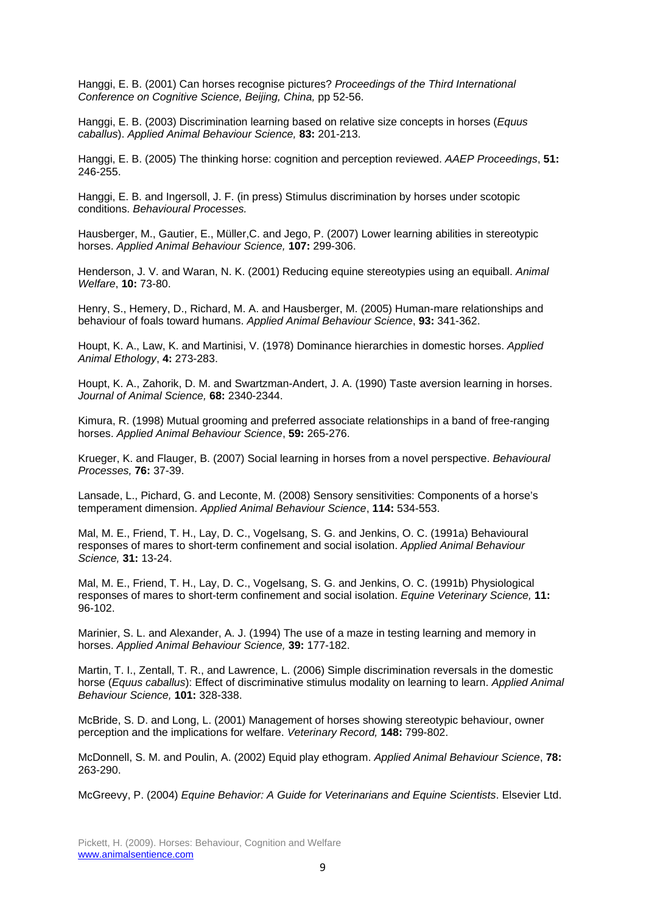Hanggi, E. B. (2001) Can horses recognise pictures? *Proceedings of the Third International Conference on Cognitive Science, Beijing, China,* pp 52-56.

Hanggi, E. B. (2003) Discrimination learning based on relative size concepts in horses (*Equus caballus*). *Applied Animal Behaviour Science,* **83:** 201-213.

Hanggi, E. B. (2005) The thinking horse: cognition and perception reviewed. *AAEP Proceedings*, **51:** 246-255.

Hanggi, E. B. and Ingersoll, J. F. (in press) Stimulus discrimination by horses under scotopic conditions. *Behavioural Processes.* 

Hausberger, M., Gautier, E., Müller,C. and Jego, P. (2007) Lower learning abilities in stereotypic horses. *Applied Animal Behaviour Science,* **107:** 299-306.

Henderson, J. V. and Waran, N. K. (2001) Reducing equine stereotypies using an equiball. *Animal Welfare*, **10:** 73-80.

Henry, S., Hemery, D., Richard, M. A. and Hausberger, M. (2005) Human-mare relationships and behaviour of foals toward humans. *Applied Animal Behaviour Science*, **93:** 341-362.

Houpt, K. A., Law, K. and Martinisi, V. (1978) Dominance hierarchies in domestic horses. *Applied Animal Ethology*, **4:** 273-283.

Houpt, K. A., Zahorik, D. M. and Swartzman-Andert, J. A. (1990) Taste aversion learning in horses. *Journal of Animal Science,* **68:** 2340-2344.

Kimura, R. (1998) Mutual grooming and preferred associate relationships in a band of free-ranging horses. *Applied Animal Behaviour Science*, **59:** 265-276.

Krueger, K. and Flauger, B. (2007) Social learning in horses from a novel perspective. *Behavioural Processes,* **76:** 37-39.

Lansade, L., Pichard, G. and Leconte, M. (2008) Sensory sensitivities: Components of a horse's temperament dimension. *Applied Animal Behaviour Science*, **114:** 534-553.

Mal, M. E., Friend, T. H., Lay, D. C., Vogelsang, S. G. and Jenkins, O. C. (1991a) Behavioural responses of mares to short-term confinement and social isolation. *Applied Animal Behaviour Science,* **31:** 13-24.

Mal, M. E., Friend, T. H., Lay, D. C., Vogelsang, S. G. and Jenkins, O. C. (1991b) Physiological responses of mares to short-term confinement and social isolation. *Equine Veterinary Science,* **11:** 96-102.

Marinier, S. L. and Alexander, A. J. (1994) The use of a maze in testing learning and memory in horses. *Applied Animal Behaviour Science,* **39:** 177-182.

Martin, T. I., Zentall, T. R., and Lawrence, L. (2006) Simple discrimination reversals in the domestic horse (*Equus caballus*): Effect of discriminative stimulus modality on learning to learn. *Applied Animal Behaviour Science,* **101:** 328-338.

McBride, S. D. and Long, L. (2001) Management of horses showing stereotypic behaviour, owner perception and the implications for welfare. *Veterinary Record,* **148:** 799-802.

McDonnell, S. M. and Poulin, A. (2002) Equid play ethogram. *Applied Animal Behaviour Science*, **78:** 263-290.

McGreevy, P. (2004) *Equine Behavior: A Guide for Veterinarians and Equine Scientists*. Elsevier Ltd.